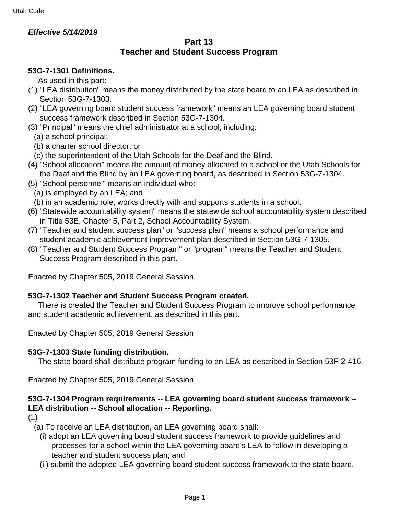## **Effective 5/14/2019**

### **Part 13 Teacher and Student Success Program**

## **53G-7-1301 Definitions.**

As used in this part:

- (1) "LEA distribution" means the money distributed by the state board to an LEA as described in Section 53G-7-1303.
- (2) "LEA governing board student success framework" means an LEA governing board student success framework described in Section 53G-7-1304.
- (3) "Principal" means the chief administrator at a school, including:
	- (a) a school principal;
	- (b) a charter school director; or
	- (c) the superintendent of the Utah Schools for the Deaf and the Blind.
- (4) "School allocation" means the amount of money allocated to a school or the Utah Schools for the Deaf and the Blind by an LEA governing board, as described in Section 53G-7-1304.
- (5) "School personnel" means an individual who:
	- (a) is employed by an LEA; and
	- (b) in an academic role, works directly with and supports students in a school.
- (6) "Statewide accountability system" means the statewide school accountability system described in Title 53E, Chapter 5, Part 2, School Accountability System.
- (7) "Teacher and student success plan" or "success plan" means a school performance and student academic achievement improvement plan described in Section 53G-7-1305.
- (8) "Teacher and Student Success Program" or "program" means the Teacher and Student Success Program described in this part.

Enacted by Chapter 505, 2019 General Session

## **53G-7-1302 Teacher and Student Success Program created.**

 There is created the Teacher and Student Success Program to improve school performance and student academic achievement, as described in this part.

Enacted by Chapter 505, 2019 General Session

## **53G-7-1303 State funding distribution.**

The state board shall distribute program funding to an LEA as described in Section 53F-2-416.

Enacted by Chapter 505, 2019 General Session

# **53G-7-1304 Program requirements -- LEA governing board student success framework -- LEA distribution -- School allocation -- Reporting.**

(1)

(a) To receive an LEA distribution, an LEA governing board shall:

- (i) adopt an LEA governing board student success framework to provide guidelines and processes for a school within the LEA governing board's LEA to follow in developing a teacher and student success plan; and
- (ii) submit the adopted LEA governing board student success framework to the state board.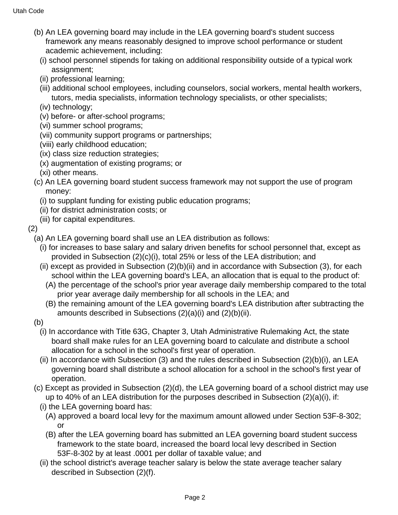- (b) An LEA governing board may include in the LEA governing board's student success framework any means reasonably designed to improve school performance or student academic achievement, including:
	- (i) school personnel stipends for taking on additional responsibility outside of a typical work assignment;
	- (ii) professional learning;
	- (iii) additional school employees, including counselors, social workers, mental health workers, tutors, media specialists, information technology specialists, or other specialists;
	- (iv) technology;
	- (v) before- or after-school programs;
	- (vi) summer school programs;
	- (vii) community support programs or partnerships;
	- (viii) early childhood education;
	- (ix) class size reduction strategies;
	- (x) augmentation of existing programs; or
	- (xi) other means.
- (c) An LEA governing board student success framework may not support the use of program money:
	- (i) to supplant funding for existing public education programs;
	- (ii) for district administration costs; or
	- (iii) for capital expenditures.
- (2)

(a) An LEA governing board shall use an LEA distribution as follows:

- (i) for increases to base salary and salary driven benefits for school personnel that, except as provided in Subsection (2)(c)(i), total 25% or less of the LEA distribution; and
- (ii) except as provided in Subsection (2)(b)(ii) and in accordance with Subsection (3), for each school within the LEA governing board's LEA, an allocation that is equal to the product of:
	- (A) the percentage of the school's prior year average daily membership compared to the total prior year average daily membership for all schools in the LEA; and
	- (B) the remaining amount of the LEA governing board's LEA distribution after subtracting the amounts described in Subsections (2)(a)(i) and (2)(b)(ii).
- (b)
	- (i) In accordance with Title 63G, Chapter 3, Utah Administrative Rulemaking Act, the state board shall make rules for an LEA governing board to calculate and distribute a school allocation for a school in the school's first year of operation.
	- (ii) In accordance with Subsection (3) and the rules described in Subsection (2)(b)(i), an LEA governing board shall distribute a school allocation for a school in the school's first year of operation.
- (c) Except as provided in Subsection (2)(d), the LEA governing board of a school district may use up to 40% of an LEA distribution for the purposes described in Subsection (2)(a)(i), if:
	- (i) the LEA governing board has:
		- (A) approved a board local levy for the maximum amount allowed under Section 53F-8-302; or
		- (B) after the LEA governing board has submitted an LEA governing board student success framework to the state board, increased the board local levy described in Section 53F-8-302 by at least .0001 per dollar of taxable value; and
	- (ii) the school district's average teacher salary is below the state average teacher salary described in Subsection (2)(f).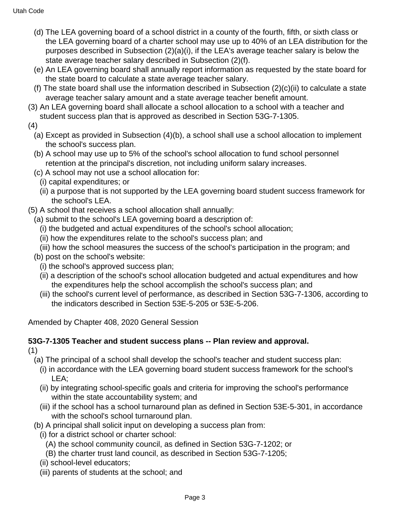- (d) The LEA governing board of a school district in a county of the fourth, fifth, or sixth class or the LEA governing board of a charter school may use up to 40% of an LEA distribution for the purposes described in Subsection (2)(a)(i), if the LEA's average teacher salary is below the state average teacher salary described in Subsection (2)(f).
- (e) An LEA governing board shall annually report information as requested by the state board for the state board to calculate a state average teacher salary.
- (f) The state board shall use the information described in Subsection  $(2)(c)(ii)$  to calculate a state average teacher salary amount and a state average teacher benefit amount.
- (3) An LEA governing board shall allocate a school allocation to a school with a teacher and student success plan that is approved as described in Section 53G-7-1305.
- (4)
	- (a) Except as provided in Subsection (4)(b), a school shall use a school allocation to implement the school's success plan.
	- (b) A school may use up to 5% of the school's school allocation to fund school personnel retention at the principal's discretion, not including uniform salary increases.
	- (c) A school may not use a school allocation for:
		- (i) capital expenditures; or
		- (ii) a purpose that is not supported by the LEA governing board student success framework for the school's LEA.
- (5) A school that receives a school allocation shall annually:
	- (a) submit to the school's LEA governing board a description of:
		- (i) the budgeted and actual expenditures of the school's school allocation;
		- (ii) how the expenditures relate to the school's success plan; and
	- (iii) how the school measures the success of the school's participation in the program; and
	- (b) post on the school's website:
		- (i) the school's approved success plan;
		- (ii) a description of the school's school allocation budgeted and actual expenditures and how the expenditures help the school accomplish the school's success plan; and
		- (iii) the school's current level of performance, as described in Section 53G-7-1306, according to the indicators described in Section 53E-5-205 or 53E-5-206.

Amended by Chapter 408, 2020 General Session

#### **53G-7-1305 Teacher and student success plans -- Plan review and approval.** (1)

- (a) The principal of a school shall develop the school's teacher and student success plan:
	- (i) in accordance with the LEA governing board student success framework for the school's LEA;
	- (ii) by integrating school-specific goals and criteria for improving the school's performance within the state accountability system; and
	- (iii) if the school has a school turnaround plan as defined in Section 53E-5-301, in accordance with the school's school turnaround plan.
- (b) A principal shall solicit input on developing a success plan from:
	- (i) for a district school or charter school:
		- (A) the school community council, as defined in Section 53G-7-1202; or
		- (B) the charter trust land council, as described in Section 53G-7-1205;
	- (ii) school-level educators;
	- (iii) parents of students at the school; and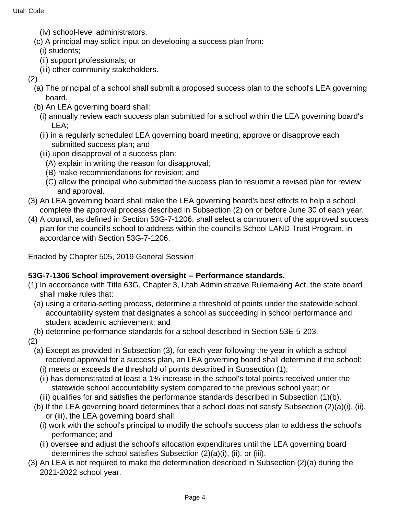- (iv) school-level administrators.
- (c) A principal may solicit input on developing a success plan from:
	- (i) students;
	- (ii) support professionals; or
	- (iii) other community stakeholders.
- (2)
	- (a) The principal of a school shall submit a proposed success plan to the school's LEA governing board.
	- (b) An LEA governing board shall:
		- (i) annually review each success plan submitted for a school within the LEA governing board's LEA;
		- (ii) in a regularly scheduled LEA governing board meeting, approve or disapprove each submitted success plan; and
		- (iii) upon disapproval of a success plan:
			- (A) explain in writing the reason for disapproval;
			- (B) make recommendations for revision; and
			- (C) allow the principal who submitted the success plan to resubmit a revised plan for review and approval.
- (3) An LEA governing board shall make the LEA governing board's best efforts to help a school complete the approval process described in Subsection (2) on or before June 30 of each year.
- (4) A council, as defined in Section 53G-7-1206, shall select a component of the approved success plan for the council's school to address within the council's School LAND Trust Program, in accordance with Section 53G-7-1206.

Enacted by Chapter 505, 2019 General Session

## **53G-7-1306 School improvement oversight -- Performance standards.**

- (1) In accordance with Title 63G, Chapter 3, Utah Administrative Rulemaking Act, the state board shall make rules that:
	- (a) using a criteria-setting process, determine a threshold of points under the statewide school accountability system that designates a school as succeeding in school performance and student academic achievement; and
- (b) determine performance standards for a school described in Section 53E-5-203.

(2)

- (a) Except as provided in Subsection (3), for each year following the year in which a school received approval for a success plan, an LEA governing board shall determine if the school:
	- (i) meets or exceeds the threshold of points described in Subsection (1);
	- (ii) has demonstrated at least a 1% increase in the school's total points received under the statewide school accountability system compared to the previous school year; or
- (iii) qualifies for and satisfies the performance standards described in Subsection (1)(b).
- (b) If the LEA governing board determines that a school does not satisfy Subsection (2)(a)(i), (ii), or (iii), the LEA governing board shall:
	- (i) work with the school's principal to modify the school's success plan to address the school's performance; and
	- (ii) oversee and adjust the school's allocation expenditures until the LEA governing board determines the school satisfies Subsection (2)(a)(i), (ii), or (iii).
- (3) An LEA is not required to make the determination described in Subsection (2)(a) during the 2021-2022 school year.